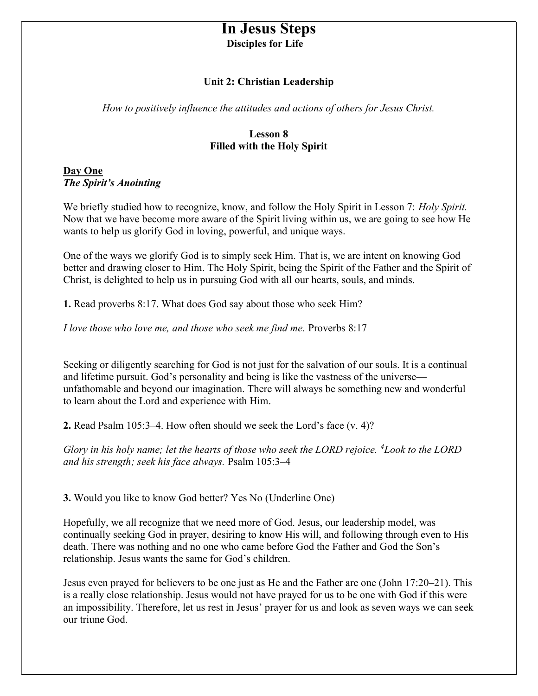# In Jesus Steps Disciples for Life

## Unit 2: Christian Leadership

How to positively influence the attitudes and actions of others for Jesus Christ.

### Lesson 8 Filled with the Holy Spirit

## Day One The Spirit's Anointing

We briefly studied how to recognize, know, and follow the Holy Spirit in Lesson 7: Holy Spirit. Now that we have become more aware of the Spirit living within us, we are going to see how He wants to help us glorify God in loving, powerful, and unique ways.

One of the ways we glorify God is to simply seek Him. That is, we are intent on knowing God better and drawing closer to Him. The Holy Spirit, being the Spirit of the Father and the Spirit of Christ, is delighted to help us in pursuing God with all our hearts, souls, and minds.

1. Read proverbs 8:17. What does God say about those who seek Him?

I love those who love me, and those who seek me find me. Proverbs 8:17

Seeking or diligently searching for God is not just for the salvation of our souls. It is a continual and lifetime pursuit. God's personality and being is like the vastness of the universe unfathomable and beyond our imagination. There will always be something new and wonderful to learn about the Lord and experience with Him.

2. Read Psalm 105:3–4. How often should we seek the Lord's face (v. 4)?

Glory in his holy name; let the hearts of those who seek the LORD rejoice.  $^4$ Look to the LORD and his strength; seek his face always. Psalm 105:3–4

3. Would you like to know God better? Yes No (Underline One)

Hopefully, we all recognize that we need more of God. Jesus, our leadership model, was continually seeking God in prayer, desiring to know His will, and following through even to His death. There was nothing and no one who came before God the Father and God the Son's relationship. Jesus wants the same for God's children.

Jesus even prayed for believers to be one just as He and the Father are one (John 17:20–21). This is a really close relationship. Jesus would not have prayed for us to be one with God if this were an impossibility. Therefore, let us rest in Jesus' prayer for us and look as seven ways we can seek our triune God.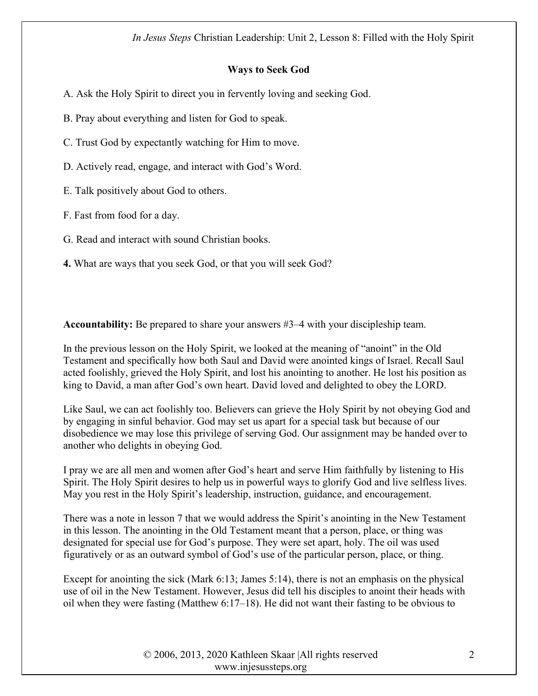## Ways to Seek God

- A. Ask the Holy Spirit to direct you in fervently loving and seeking God.
- B. Pray about everything and listen for God to speak.
- C. Trust God by expectantly watching for Him to move.
- D. Actively read, engage, and interact with God's Word.
- E. Talk positively about God to others.
- F. Fast from food for a day.
- G. Read and interact with sound Christian books.
- 4. What are ways that you seek God, or that you will seek God?

Accountability: Be prepared to share your answers #3–4 with your discipleship team.

In the previous lesson on the Holy Spirit, we looked at the meaning of "anoint" in the Old Testament and specifically how both Saul and David were anointed kings of Israel. Recall Saul acted foolishly, grieved the Holy Spirit, and lost his anointing to another. He lost his position as king to David, a man after God's own heart. David loved and delighted to obey the LORD.

Like Saul, we can act foolishly too. Believers can grieve the Holy Spirit by not obeying God and by engaging in sinful behavior. God may set us apart for a special task but because of our disobedience we may lose this privilege of serving God. Our assignment may be handed over to another who delights in obeying God.

I pray we are all men and women after God's heart and serve Him faithfully by listening to His Spirit. The Holy Spirit desires to help us in powerful ways to glorify God and live selfless lives. May you rest in the Holy Spirit's leadership, instruction, guidance, and encouragement.

There was a note in lesson 7 that we would address the Spirit's anointing in the New Testament in this lesson. The anointing in the Old Testament meant that a person, place, or thing was designated for special use for God's purpose. They were set apart, holy. The oil was used figuratively or as an outward symbol of God's use of the particular person, place, or thing.

Except for anointing the sick (Mark 6:13; James 5:14), there is not an emphasis on the physical use of oil in the New Testament. However, Jesus did tell his disciples to anoint their heads with oil when they were fasting (Matthew 6:17–18). He did not want their fasting to be obvious to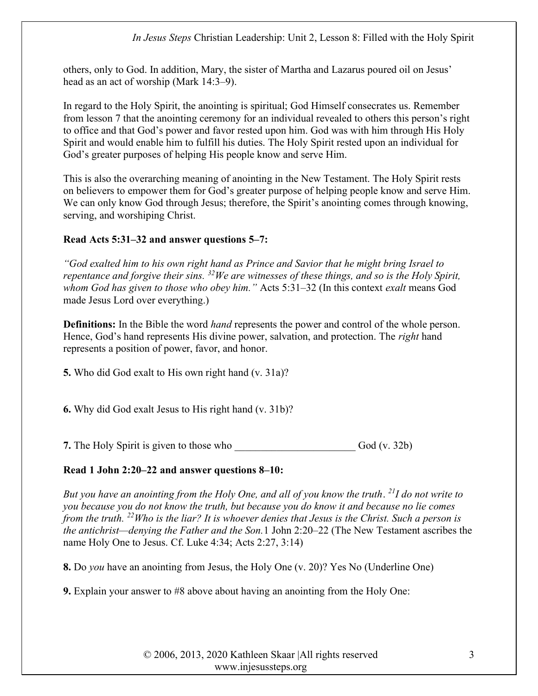others, only to God. In addition, Mary, the sister of Martha and Lazarus poured oil on Jesus' head as an act of worship (Mark 14:3–9).

In regard to the Holy Spirit, the anointing is spiritual; God Himself consecrates us. Remember from lesson 7 that the anointing ceremony for an individual revealed to others this person's right to office and that God's power and favor rested upon him. God was with him through His Holy Spirit and would enable him to fulfill his duties. The Holy Spirit rested upon an individual for God's greater purposes of helping His people know and serve Him.

This is also the overarching meaning of anointing in the New Testament. The Holy Spirit rests on believers to empower them for God's greater purpose of helping people know and serve Him. We can only know God through Jesus; therefore, the Spirit's anointing comes through knowing, serving, and worshiping Christ.

## Read Acts 5:31–32 and answer questions 5–7:

"God exalted him to his own right hand as Prince and Savior that he might bring Israel to repentance and forgive their sins.  $32$  We are witnesses of these things, and so is the Holy Spirit, whom God has given to those who obey him." Acts 5:31–32 (In this context exalt means God made Jesus Lord over everything.)

**Definitions:** In the Bible the word *hand* represents the power and control of the whole person. Hence, God's hand represents His divine power, salvation, and protection. The *right* hand represents a position of power, favor, and honor.

5. Who did God exalt to His own right hand (v. 31a)?

6. Why did God exalt Jesus to His right hand (v. 31b)?

7. The Holy Spirit is given to those who  $\qquad \qquad \text{God (v. 32b)}$ 

## Read 1 John 2:20–22 and answer questions 8–10:

But you have an anointing from the Holy One, and all of you know the truth.  $^{21}I$  do not write to you because you do not know the truth, but because you do know it and because no lie comes from the truth. <sup>22</sup>Who is the liar? It is whoever denies that Jesus is the Christ. Such a person is the antichrist—denying the Father and the Son.1 John 2:20–22 (The New Testament ascribes the name Holy One to Jesus. Cf. Luke 4:34; Acts 2:27, 3:14)

8. Do you have an anointing from Jesus, the Holy One (v. 20)? Yes No (Underline One)

9. Explain your answer to #8 above about having an anointing from the Holy One: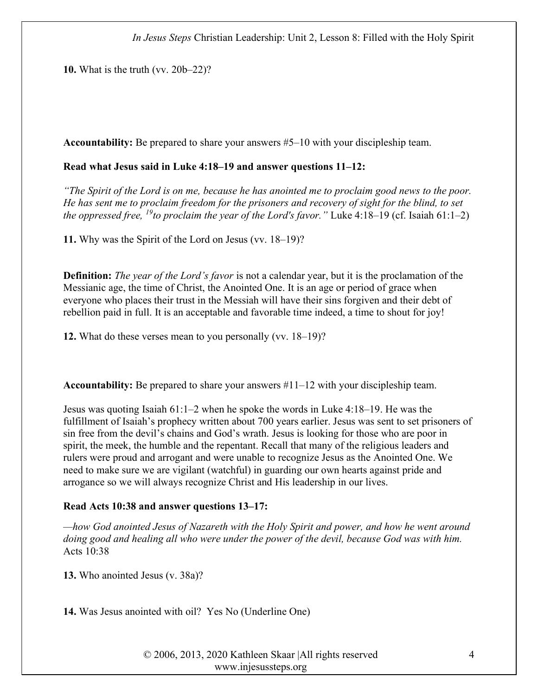10. What is the truth (vv. 20b–22)?

Accountability: Be prepared to share your answers #5–10 with your discipleship team.

### Read what Jesus said in Luke 4:18–19 and answer questions 11–12:

"The Spirit of the Lord is on me, because he has anointed me to proclaim good news to the poor. He has sent me to proclaim freedom for the prisoners and recovery of sight for the blind, to set the oppressed free, <sup>19</sup>to proclaim the year of the Lord's favor." Luke 4:18–19 (cf. Isaiah 61:1–2)

11. Why was the Spirit of the Lord on Jesus (vv. 18–19)?

**Definition:** The year of the Lord's favor is not a calendar year, but it is the proclamation of the Messianic age, the time of Christ, the Anointed One. It is an age or period of grace when everyone who places their trust in the Messiah will have their sins forgiven and their debt of rebellion paid in full. It is an acceptable and favorable time indeed, a time to shout for joy!

12. What do these verses mean to you personally (vv. 18–19)?

Accountability: Be prepared to share your answers #11–12 with your discipleship team.

Jesus was quoting Isaiah 61:1–2 when he spoke the words in Luke 4:18–19. He was the fulfillment of Isaiah's prophecy written about 700 years earlier. Jesus was sent to set prisoners of sin free from the devil's chains and God's wrath. Jesus is looking for those who are poor in spirit, the meek, the humble and the repentant. Recall that many of the religious leaders and rulers were proud and arrogant and were unable to recognize Jesus as the Anointed One. We need to make sure we are vigilant (watchful) in guarding our own hearts against pride and arrogance so we will always recognize Christ and His leadership in our lives.

## Read Acts 10:38 and answer questions 13–17:

—how God anointed Jesus of Nazareth with the Holy Spirit and power, and how he went around doing good and healing all who were under the power of the devil, because God was with him. Acts 10:38

13. Who anointed Jesus (v. 38a)?

14. Was Jesus anointed with oil? Yes No (Underline One)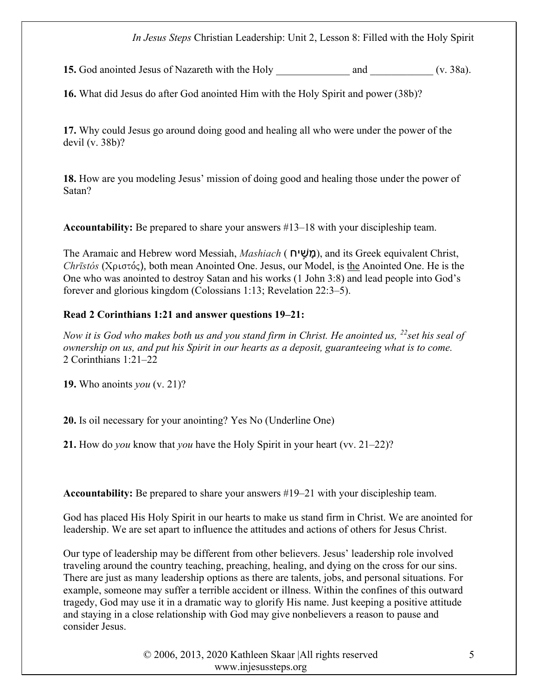15. God anointed Jesus of Nazareth with the Holy and  $($ v. 38a).

16. What did Jesus do after God anointed Him with the Holy Spirit and power (38b)?

17. Why could Jesus go around doing good and healing all who were under the power of the devil (v. 38b)?

18. How are you modeling Jesus' mission of doing good and healing those under the power of Satan?

Accountability: Be prepared to share your answers #13–18 with your discipleship team.

The Aramaic and Hebrew word Messiah, *Mashiach* ( מָשִׁיח), and its Greek equivalent Christ,  $Christos$  ( $Xp\mu\sigma\tau\acute{o}$ ς), both mean Anointed One. Jesus, our Model, is the Anointed One. He is the One who was anointed to destroy Satan and his works (1 John 3:8) and lead people into God's forever and glorious kingdom (Colossians 1:13; Revelation 22:3–5).

## Read 2 Corinthians 1:21 and answer questions 19–21:

Now it is God who makes both us and you stand firm in Christ. He anointed us,  $^{22}$ set his seal of ownership on us, and put his Spirit in our hearts as a deposit, guaranteeing what is to come. 2 Corinthians 1:21–22

19. Who anoints *you* (v. 21)?

20. Is oil necessary for your anointing? Yes No (Underline One)

21. How do *you* know that *you* have the Holy Spirit in your heart (vv.  $21-22$ )?

Accountability: Be prepared to share your answers #19–21 with your discipleship team.

God has placed His Holy Spirit in our hearts to make us stand firm in Christ. We are anointed for leadership. We are set apart to influence the attitudes and actions of others for Jesus Christ.

Our type of leadership may be different from other believers. Jesus' leadership role involved traveling around the country teaching, preaching, healing, and dying on the cross for our sins. There are just as many leadership options as there are talents, jobs, and personal situations. For example, someone may suffer a terrible accident or illness. Within the confines of this outward tragedy, God may use it in a dramatic way to glorify His name. Just keeping a positive attitude and staying in a close relationship with God may give nonbelievers a reason to pause and consider Jesus.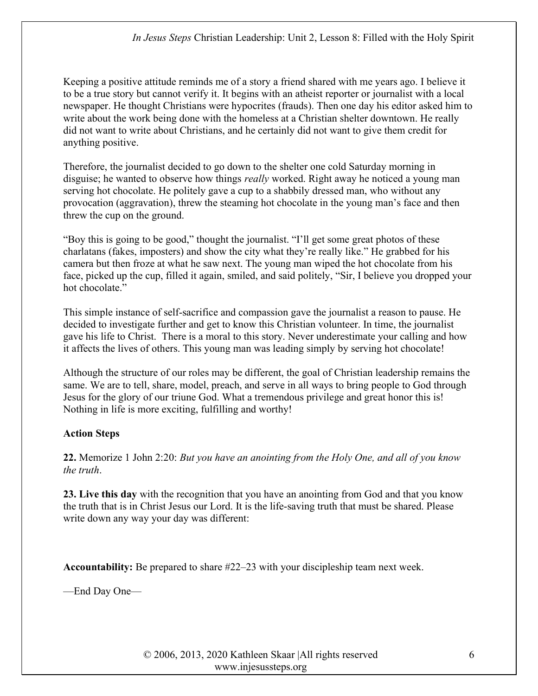Keeping a positive attitude reminds me of a story a friend shared with me years ago. I believe it to be a true story but cannot verify it. It begins with an atheist reporter or journalist with a local newspaper. He thought Christians were hypocrites (frauds). Then one day his editor asked him to write about the work being done with the homeless at a Christian shelter downtown. He really did not want to write about Christians, and he certainly did not want to give them credit for anything positive.

Therefore, the journalist decided to go down to the shelter one cold Saturday morning in disguise; he wanted to observe how things *really* worked. Right away he noticed a young man serving hot chocolate. He politely gave a cup to a shabbily dressed man, who without any provocation (aggravation), threw the steaming hot chocolate in the young man's face and then threw the cup on the ground.

"Boy this is going to be good," thought the journalist. "I'll get some great photos of these charlatans (fakes, imposters) and show the city what they're really like." He grabbed for his camera but then froze at what he saw next. The young man wiped the hot chocolate from his face, picked up the cup, filled it again, smiled, and said politely, "Sir, I believe you dropped your hot chocolate."

This simple instance of self-sacrifice and compassion gave the journalist a reason to pause. He decided to investigate further and get to know this Christian volunteer. In time, the journalist gave his life to Christ. There is a moral to this story. Never underestimate your calling and how it affects the lives of others. This young man was leading simply by serving hot chocolate!

Although the structure of our roles may be different, the goal of Christian leadership remains the same. We are to tell, share, model, preach, and serve in all ways to bring people to God through Jesus for the glory of our triune God. What a tremendous privilege and great honor this is! Nothing in life is more exciting, fulfilling and worthy!

## Action Steps

22. Memorize 1 John 2:20: But you have an anointing from the Holy One, and all of you know the truth.

23. Live this day with the recognition that you have an anointing from God and that you know the truth that is in Christ Jesus our Lord. It is the life-saving truth that must be shared. Please write down any way your day was different:

Accountability: Be prepared to share #22–23 with your discipleship team next week.

—End Day One—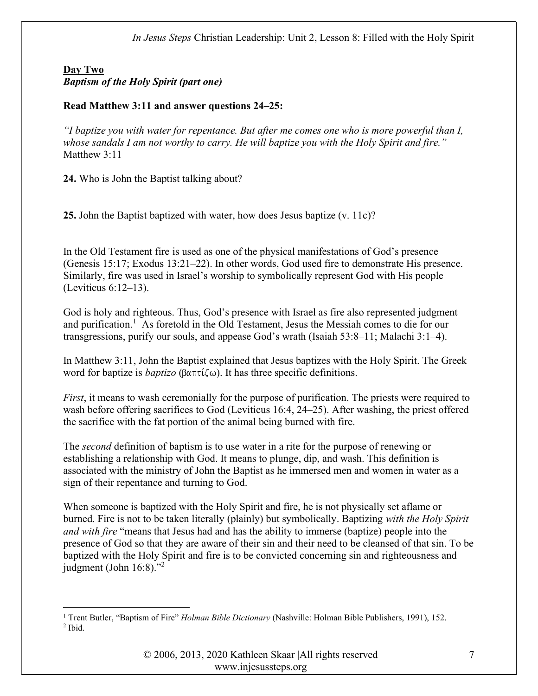## Day Two Baptism of the Holy Spirit (part one)

## Read Matthew 3:11 and answer questions 24–25:

"I baptize you with water for repentance. But after me comes one who is more powerful than I, whose sandals I am not worthy to carry. He will baptize you with the Holy Spirit and fire." Matthew 3:11

24. Who is John the Baptist talking about?

25. John the Baptist baptized with water, how does Jesus baptize (v. 11c)?

In the Old Testament fire is used as one of the physical manifestations of God's presence (Genesis 15:17; Exodus 13:21–22). In other words, God used fire to demonstrate His presence. Similarly, fire was used in Israel's worship to symbolically represent God with His people (Leviticus 6:12–13).

God is holy and righteous. Thus, God's presence with Israel as fire also represented judgment and purification.<sup>1</sup> As foretold in the Old Testament, Jesus the Messiah comes to die for our transgressions, purify our souls, and appease God's wrath (Isaiah 53:8–11; Malachi 3:1–4).

In Matthew 3:11, John the Baptist explained that Jesus baptizes with the Holy Spirit. The Greek word for baptize is *baptizo* ( $\beta \alpha \pi \tau \zeta \omega$ ). It has three specific definitions.

First, it means to wash ceremonially for the purpose of purification. The priests were required to wash before offering sacrifices to God (Leviticus 16:4, 24–25). After washing, the priest offered the sacrifice with the fat portion of the animal being burned with fire.

The second definition of baptism is to use water in a rite for the purpose of renewing or establishing a relationship with God. It means to plunge, dip, and wash. This definition is associated with the ministry of John the Baptist as he immersed men and women in water as a sign of their repentance and turning to God.

When someone is baptized with the Holy Spirit and fire, he is not physically set aflame or burned. Fire is not to be taken literally (plainly) but symbolically. Baptizing with the Holy Spirit and with fire "means that Jesus had and has the ability to immerse (baptize) people into the presence of God so that they are aware of their sin and their need to be cleansed of that sin. To be baptized with the Holy Spirit and fire is to be convicted concerning sin and righteousness and judgment (John  $16:8$ )."<sup>2</sup>

<sup>&</sup>lt;sup>1</sup> Trent Butler, "Baptism of Fire" *Holman Bible Dictionary* (Nashville: Holman Bible Publishers, 1991), 152.  $2$  Ibid.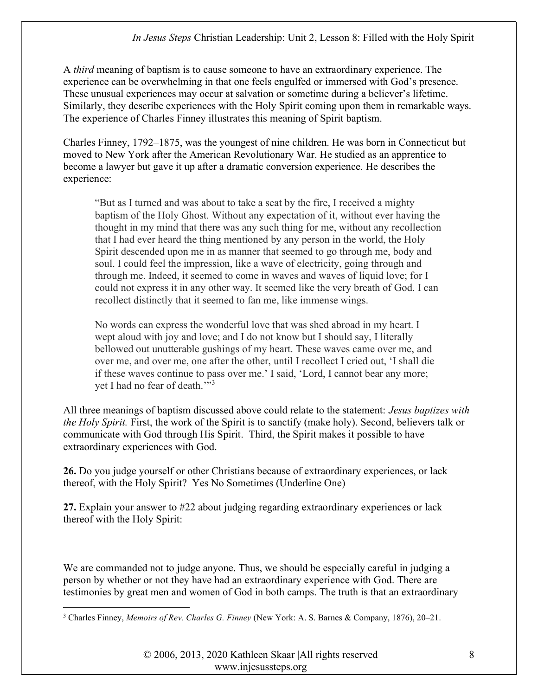A third meaning of baptism is to cause someone to have an extraordinary experience. The experience can be overwhelming in that one feels engulfed or immersed with God's presence. These unusual experiences may occur at salvation or sometime during a believer's lifetime. Similarly, they describe experiences with the Holy Spirit coming upon them in remarkable ways. The experience of Charles Finney illustrates this meaning of Spirit baptism.

Charles Finney, 1792–1875, was the youngest of nine children. He was born in Connecticut but moved to New York after the American Revolutionary War. He studied as an apprentice to become a lawyer but gave it up after a dramatic conversion experience. He describes the experience:

"But as I turned and was about to take a seat by the fire, I received a mighty baptism of the Holy Ghost. Without any expectation of it, without ever having the thought in my mind that there was any such thing for me, without any recollection that I had ever heard the thing mentioned by any person in the world, the Holy Spirit descended upon me in as manner that seemed to go through me, body and soul. I could feel the impression, like a wave of electricity, going through and through me. Indeed, it seemed to come in waves and waves of liquid love; for I could not express it in any other way. It seemed like the very breath of God. I can recollect distinctly that it seemed to fan me, like immense wings.

No words can express the wonderful love that was shed abroad in my heart. I wept aloud with joy and love; and I do not know but I should say, I literally bellowed out unutterable gushings of my heart. These waves came over me, and over me, and over me, one after the other, until I recollect I cried out, 'I shall die if these waves continue to pass over me.' I said, 'Lord, I cannot bear any more; yet I had no fear of death."<sup>3</sup>

All three meanings of baptism discussed above could relate to the statement: Jesus baptizes with the Holy Spirit. First, the work of the Spirit is to sanctify (make holy). Second, believers talk or communicate with God through His Spirit. Third, the Spirit makes it possible to have extraordinary experiences with God.

26. Do you judge yourself or other Christians because of extraordinary experiences, or lack thereof, with the Holy Spirit? Yes No Sometimes (Underline One)

27. Explain your answer to #22 about judging regarding extraordinary experiences or lack thereof with the Holy Spirit:

We are commanded not to judge anyone. Thus, we should be especially careful in judging a person by whether or not they have had an extraordinary experience with God. There are testimonies by great men and women of God in both camps. The truth is that an extraordinary

<sup>&</sup>lt;sup>3</sup> Charles Finney, *Memoirs of Rev. Charles G. Finney* (New York: A. S. Barnes & Company, 1876), 20–21.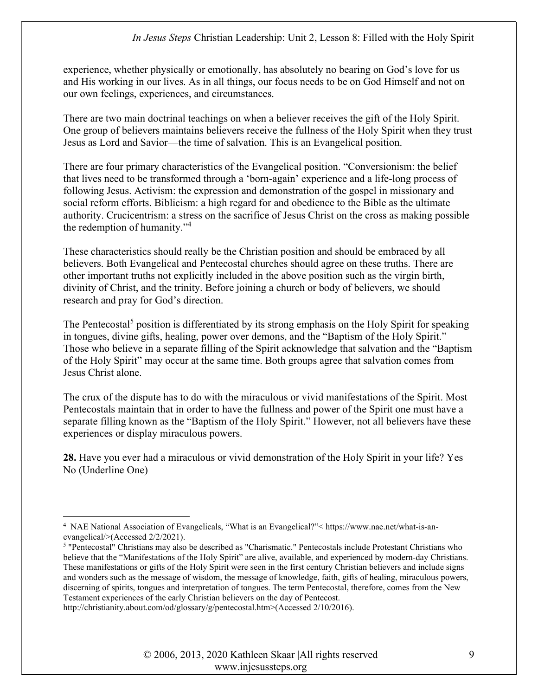experience, whether physically or emotionally, has absolutely no bearing on God's love for us and His working in our lives. As in all things, our focus needs to be on God Himself and not on our own feelings, experiences, and circumstances.

There are two main doctrinal teachings on when a believer receives the gift of the Holy Spirit. One group of believers maintains believers receive the fullness of the Holy Spirit when they trust Jesus as Lord and Savior—the time of salvation. This is an Evangelical position.

There are four primary characteristics of the Evangelical position. "Conversionism: the belief that lives need to be transformed through a 'born-again' experience and a life-long process of following Jesus. Activism: the expression and demonstration of the gospel in missionary and social reform efforts. Biblicism: a high regard for and obedience to the Bible as the ultimate authority. Crucicentrism: a stress on the sacrifice of Jesus Christ on the cross as making possible the redemption of humanity."<sup>4</sup>

These characteristics should really be the Christian position and should be embraced by all believers. Both Evangelical and Pentecostal churches should agree on these truths. There are other important truths not explicitly included in the above position such as the virgin birth, divinity of Christ, and the trinity. Before joining a church or body of believers, we should research and pray for God's direction.

The Pentecostal<sup>5</sup> position is differentiated by its strong emphasis on the Holy Spirit for speaking in tongues, divine gifts, healing, power over demons, and the "Baptism of the Holy Spirit." Those who believe in a separate filling of the Spirit acknowledge that salvation and the "Baptism of the Holy Spirit" may occur at the same time. Both groups agree that salvation comes from Jesus Christ alone.

The crux of the dispute has to do with the miraculous or vivid manifestations of the Spirit. Most Pentecostals maintain that in order to have the fullness and power of the Spirit one must have a separate filling known as the "Baptism of the Holy Spirit." However, not all believers have these experiences or display miraculous powers.

28. Have you ever had a miraculous or vivid demonstration of the Holy Spirit in your life? Yes No (Underline One)

<sup>4</sup> NAE National Association of Evangelicals, "What is an Evangelical?"< https://www.nae.net/what-is-anevangelical/>(Accessed 2/2/2021).

<sup>5</sup> "Pentecostal" Christians may also be described as "Charismatic." Pentecostals include Protestant Christians who believe that the "Manifestations of the Holy Spirit" are alive, available, and experienced by modern-day Christians. These manifestations or gifts of the Holy Spirit were seen in the first century Christian believers and include signs and wonders such as the message of wisdom, the message of knowledge, faith, gifts of healing, miraculous powers, discerning of spirits, tongues and interpretation of tongues. The term Pentecostal, therefore, comes from the New Testament experiences of the early Christian believers on the day of Pentecost.

http://christianity.about.com/od/glossary/g/pentecostal.htm>(Accessed 2/10/2016).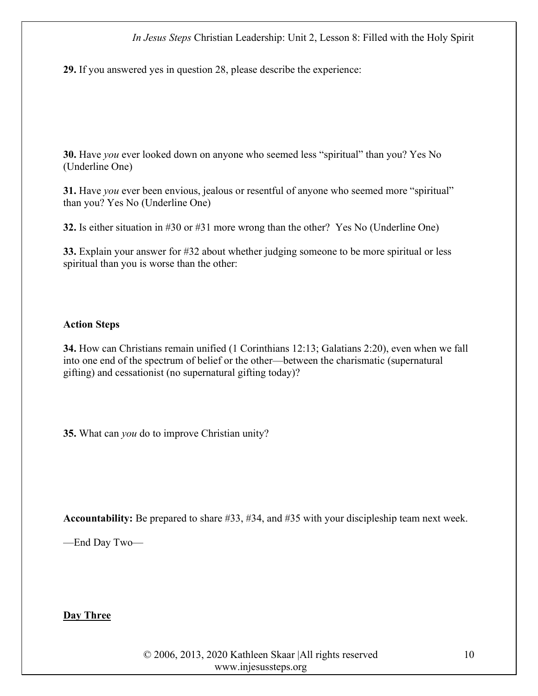29. If you answered yes in question 28, please describe the experience:

30. Have you ever looked down on anyone who seemed less "spiritual" than you? Yes No (Underline One)

31. Have you ever been envious, jealous or resentful of anyone who seemed more "spiritual" than you? Yes No (Underline One)

32. Is either situation in #30 or #31 more wrong than the other? Yes No (Underline One)

33. Explain your answer for #32 about whether judging someone to be more spiritual or less spiritual than you is worse than the other:

#### Action Steps

34. How can Christians remain unified (1 Corinthians 12:13; Galatians 2:20), even when we fall into one end of the spectrum of belief or the other—between the charismatic (supernatural gifting) and cessationist (no supernatural gifting today)?

35. What can *you* do to improve Christian unity?

Accountability: Be prepared to share #33, #34, and #35 with your discipleship team next week.

—End Day Two—

## Day Three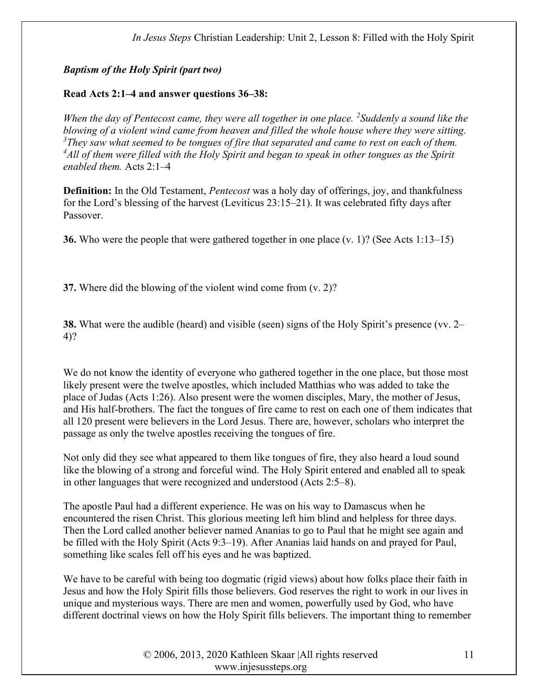## Baptism of the Holy Spirit (part two)

## Read Acts 2:1–4 and answer questions 36–38:

When the day of Pentecost came, they were all together in one place. <sup>2</sup>Suddenly a sound like the blowing of a violent wind came from heaven and filled the whole house where they were sitting.  $3$ They saw what seemed to be tongues of fire that separated and came to rest on each of them.  $4$ All of them were filled with the Holy Spirit and began to speak in other tongues as the Spirit enabled them. Acts 2:1–4

**Definition:** In the Old Testament, *Pentecost* was a holy day of offerings, joy, and thankfulness for the Lord's blessing of the harvest (Leviticus 23:15–21). It was celebrated fifty days after Passover.

**36.** Who were the people that were gathered together in one place  $(v, 1)$ ? (See Acts 1:13–15)

37. Where did the blowing of the violent wind come from (v. 2)?

38. What were the audible (heard) and visible (seen) signs of the Holy Spirit's presence (vv. 2– 4)?

We do not know the identity of everyone who gathered together in the one place, but those most likely present were the twelve apostles, which included Matthias who was added to take the place of Judas (Acts 1:26). Also present were the women disciples, Mary, the mother of Jesus, and His half-brothers. The fact the tongues of fire came to rest on each one of them indicates that all 120 present were believers in the Lord Jesus. There are, however, scholars who interpret the passage as only the twelve apostles receiving the tongues of fire.

Not only did they see what appeared to them like tongues of fire, they also heard a loud sound like the blowing of a strong and forceful wind. The Holy Spirit entered and enabled all to speak in other languages that were recognized and understood (Acts 2:5–8).

The apostle Paul had a different experience. He was on his way to Damascus when he encountered the risen Christ. This glorious meeting left him blind and helpless for three days. Then the Lord called another believer named Ananias to go to Paul that he might see again and be filled with the Holy Spirit (Acts 9:3–19). After Ananias laid hands on and prayed for Paul, something like scales fell off his eyes and he was baptized.

We have to be careful with being too dogmatic (rigid views) about how folks place their faith in Jesus and how the Holy Spirit fills those believers. God reserves the right to work in our lives in unique and mysterious ways. There are men and women, powerfully used by God, who have different doctrinal views on how the Holy Spirit fills believers. The important thing to remember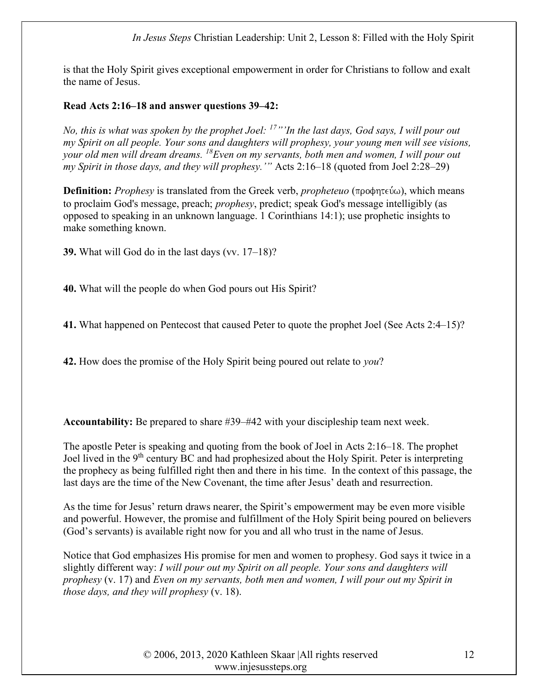is that the Holy Spirit gives exceptional empowerment in order for Christians to follow and exalt the name of Jesus.

### Read Acts 2:16–18 and answer questions 39–42:

No, this is what was spoken by the prophet Joel:  $^{17}$ "'In the last days, God says, I will pour out my Spirit on all people. Your sons and daughters will prophesy, your young men will see visions, your old men will dream dreams.  $^{18}E$ ven on my servants, both men and women, I will pour out my Spirit in those days, and they will prophesy.'" Acts  $2:16-18$  (quoted from Joel  $2:28-29$ )

**Definition:** *Prophesy* is translated from the Greek verb, *propheteuo* ( $\pi$ ροφητεύω), which means to proclaim God's message, preach; prophesy, predict; speak God's message intelligibly (as opposed to speaking in an unknown language. 1 Corinthians 14:1); use prophetic insights to make something known.

39. What will God do in the last days (vv. 17–18)?

40. What will the people do when God pours out His Spirit?

41. What happened on Pentecost that caused Peter to quote the prophet Joel (See Acts 2:4–15)?

42. How does the promise of the Holy Spirit being poured out relate to you?

Accountability: Be prepared to share #39–#42 with your discipleship team next week.

The apostle Peter is speaking and quoting from the book of Joel in Acts 2:16–18. The prophet Joel lived in the  $9<sup>th</sup>$  century BC and had prophesized about the Holy Spirit. Peter is interpreting the prophecy as being fulfilled right then and there in his time. In the context of this passage, the last days are the time of the New Covenant, the time after Jesus' death and resurrection.

As the time for Jesus' return draws nearer, the Spirit's empowerment may be even more visible and powerful. However, the promise and fulfillment of the Holy Spirit being poured on believers (God's servants) is available right now for you and all who trust in the name of Jesus.

Notice that God emphasizes His promise for men and women to prophesy. God says it twice in a slightly different way: I will pour out my Spirit on all people. Your sons and daughters will prophesy (v. 17) and Even on my servants, both men and women, I will pour out my Spirit in those days, and they will prophesy (v. 18).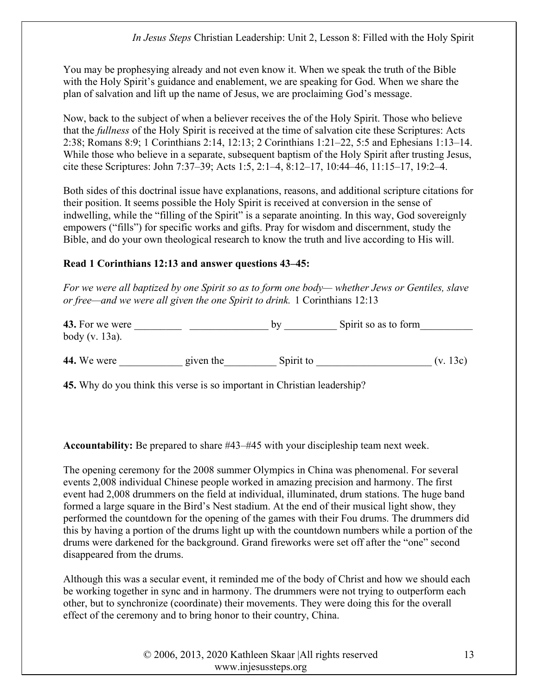You may be prophesying already and not even know it. When we speak the truth of the Bible with the Holy Spirit's guidance and enablement, we are speaking for God. When we share the plan of salvation and lift up the name of Jesus, we are proclaiming God's message.

Now, back to the subject of when a believer receives the of the Holy Spirit. Those who believe that the fullness of the Holy Spirit is received at the time of salvation cite these Scriptures: Acts 2:38; Romans 8:9; 1 Corinthians 2:14, 12:13; 2 Corinthians 1:21–22, 5:5 and Ephesians 1:13–14. While those who believe in a separate, subsequent baptism of the Holy Spirit after trusting Jesus, cite these Scriptures: John 7:37–39; Acts 1:5, 2:1–4, 8:12–17, 10:44–46, 11:15–17, 19:2–4.

Both sides of this doctrinal issue have explanations, reasons, and additional scripture citations for their position. It seems possible the Holy Spirit is received at conversion in the sense of indwelling, while the "filling of the Spirit" is a separate anointing. In this way, God sovereignly empowers ("fills") for specific works and gifts. Pray for wisdom and discernment, study the Bible, and do your own theological research to know the truth and live according to His will.

## Read 1 Corinthians 12:13 and answer questions 43–45:

For we were all baptized by one Spirit so as to form one body— whether Jews or Gentiles, slave or free—and we were all given the one Spirit to drink. 1 Corinthians 12:13

| <b>43.</b> For we were<br>body (v. 13a). |           | bv        | Spirit so as to form |          |
|------------------------------------------|-----------|-----------|----------------------|----------|
| 44. We were                              | given the | Spirit to |                      | (v. 13c) |

45. Why do you think this verse is so important in Christian leadership?

Accountability: Be prepared to share #43–#45 with your discipleship team next week.

The opening ceremony for the 2008 summer Olympics in China was phenomenal. For several events 2,008 individual Chinese people worked in amazing precision and harmony. The first event had 2,008 drummers on the field at individual, illuminated, drum stations. The huge band formed a large square in the Bird's Nest stadium. At the end of their musical light show, they performed the countdown for the opening of the games with their Fou drums. The drummers did this by having a portion of the drums light up with the countdown numbers while a portion of the drums were darkened for the background. Grand fireworks were set off after the "one" second disappeared from the drums.

Although this was a secular event, it reminded me of the body of Christ and how we should each be working together in sync and in harmony. The drummers were not trying to outperform each other, but to synchronize (coordinate) their movements. They were doing this for the overall effect of the ceremony and to bring honor to their country, China.

> © 2006, 2013, 2020 Kathleen Skaar |All rights reserved www.injesussteps.org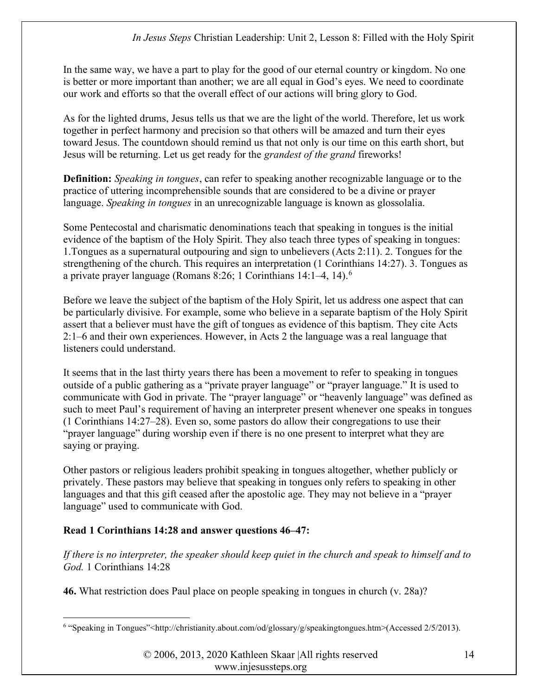In the same way, we have a part to play for the good of our eternal country or kingdom. No one is better or more important than another; we are all equal in God's eyes. We need to coordinate our work and efforts so that the overall effect of our actions will bring glory to God.

As for the lighted drums, Jesus tells us that we are the light of the world. Therefore, let us work together in perfect harmony and precision so that others will be amazed and turn their eyes toward Jesus. The countdown should remind us that not only is our time on this earth short, but Jesus will be returning. Let us get ready for the *grandest of the grand* fireworks!

Definition: *Speaking in tongues*, can refer to speaking another recognizable language or to the practice of uttering incomprehensible sounds that are considered to be a divine or prayer language. Speaking in tongues in an unrecognizable language is known as glossolalia.

Some Pentecostal and charismatic denominations teach that speaking in tongues is the initial evidence of the baptism of the Holy Spirit. They also teach three types of speaking in tongues: 1.Tongues as a supernatural outpouring and sign to unbelievers (Acts 2:11). 2. Tongues for the strengthening of the church. This requires an interpretation (1 Corinthians 14:27). 3. Tongues as a private prayer language (Romans 8:26; 1 Corinthians 14:1–4, 14).<sup>6</sup>

Before we leave the subject of the baptism of the Holy Spirit, let us address one aspect that can be particularly divisive. For example, some who believe in a separate baptism of the Holy Spirit assert that a believer must have the gift of tongues as evidence of this baptism. They cite Acts 2:1–6 and their own experiences. However, in Acts 2 the language was a real language that listeners could understand.

It seems that in the last thirty years there has been a movement to refer to speaking in tongues outside of a public gathering as a "private prayer language" or "prayer language." It is used to communicate with God in private. The "prayer language" or "heavenly language" was defined as such to meet Paul's requirement of having an interpreter present whenever one speaks in tongues (1 Corinthians 14:27–28). Even so, some pastors do allow their congregations to use their "prayer language" during worship even if there is no one present to interpret what they are saying or praying.

Other pastors or religious leaders prohibit speaking in tongues altogether, whether publicly or privately. These pastors may believe that speaking in tongues only refers to speaking in other languages and that this gift ceased after the apostolic age. They may not believe in a "prayer language" used to communicate with God.

## Read 1 Corinthians 14:28 and answer questions 46–47:

If there is no interpreter, the speaker should keep quiet in the church and speak to himself and to God. 1 Corinthians 14:28

46. What restriction does Paul place on people speaking in tongues in church (v. 28a)?

<sup>6</sup> "Speaking in Tongues"<http://christianity.about.com/od/glossary/g/speakingtongues.htm>(Accessed 2/5/2013).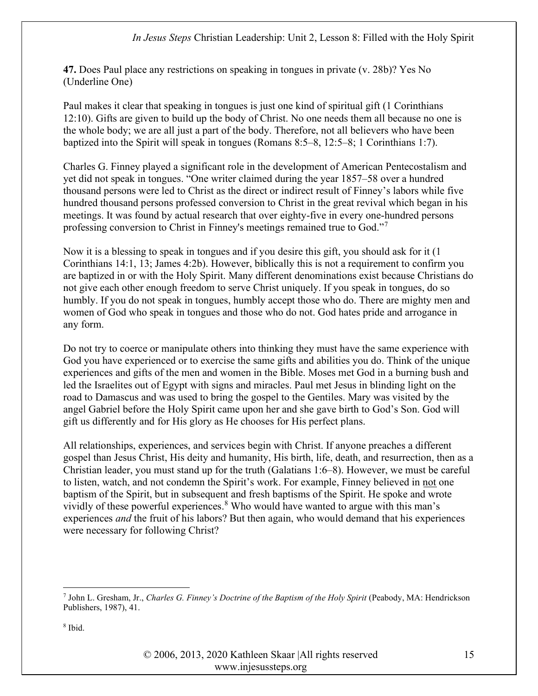47. Does Paul place any restrictions on speaking in tongues in private (v. 28b)? Yes No (Underline One)

Paul makes it clear that speaking in tongues is just one kind of spiritual gift (1 Corinthians 12:10). Gifts are given to build up the body of Christ. No one needs them all because no one is the whole body; we are all just a part of the body. Therefore, not all believers who have been baptized into the Spirit will speak in tongues (Romans 8:5–8, 12:5–8; 1 Corinthians 1:7).

Charles G. Finney played a significant role in the development of American Pentecostalism and yet did not speak in tongues. "One writer claimed during the year 1857–58 over a hundred thousand persons were led to Christ as the direct or indirect result of Finney's labors while five hundred thousand persons professed conversion to Christ in the great revival which began in his meetings. It was found by actual research that over eighty-five in every one-hundred persons professing conversion to Christ in Finney's meetings remained true to God."<sup>7</sup>

Now it is a blessing to speak in tongues and if you desire this gift, you should ask for it (1 Corinthians 14:1, 13; James 4:2b). However, biblically this is not a requirement to confirm you are baptized in or with the Holy Spirit. Many different denominations exist because Christians do not give each other enough freedom to serve Christ uniquely. If you speak in tongues, do so humbly. If you do not speak in tongues, humbly accept those who do. There are mighty men and women of God who speak in tongues and those who do not. God hates pride and arrogance in any form.

Do not try to coerce or manipulate others into thinking they must have the same experience with God you have experienced or to exercise the same gifts and abilities you do. Think of the unique experiences and gifts of the men and women in the Bible. Moses met God in a burning bush and led the Israelites out of Egypt with signs and miracles. Paul met Jesus in blinding light on the road to Damascus and was used to bring the gospel to the Gentiles. Mary was visited by the angel Gabriel before the Holy Spirit came upon her and she gave birth to God's Son. God will gift us differently and for His glory as He chooses for His perfect plans.

All relationships, experiences, and services begin with Christ. If anyone preaches a different gospel than Jesus Christ, His deity and humanity, His birth, life, death, and resurrection, then as a Christian leader, you must stand up for the truth (Galatians 1:6–8). However, we must be careful to listen, watch, and not condemn the Spirit's work. For example, Finney believed in not one baptism of the Spirit, but in subsequent and fresh baptisms of the Spirit. He spoke and wrote vividly of these powerful experiences. $8$  Who would have wanted to argue with this man's experiences and the fruit of his labors? But then again, who would demand that his experiences were necessary for following Christ?

8 Ibid.

© 2006, 2013, 2020 Kathleen Skaar |All rights reserved www.injesussteps.org

<sup>7</sup> John L. Gresham, Jr., Charles G. Finney's Doctrine of the Baptism of the Holy Spirit (Peabody, MA: Hendrickson Publishers, 1987), 41.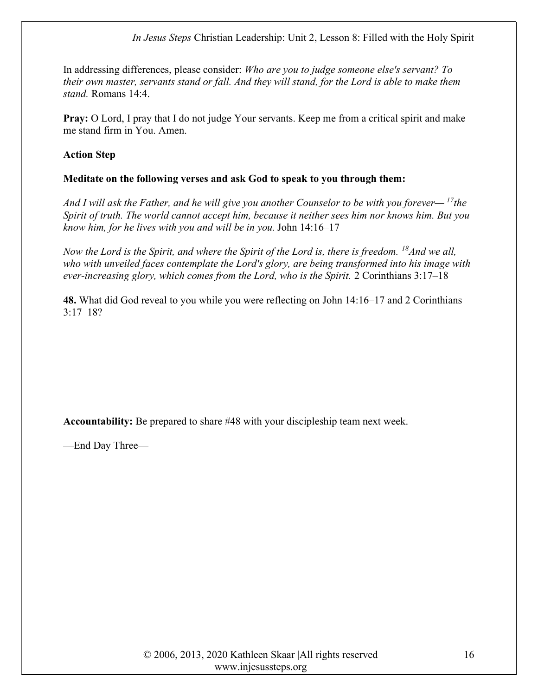In addressing differences, please consider: Who are you to judge someone else's servant? To their own master, servants stand or fall. And they will stand, for the Lord is able to make them stand. Romans 14:4.

Pray: O Lord, I pray that I do not judge Your servants. Keep me from a critical spirit and make me stand firm in You. Amen.

## Action Step

## Meditate on the following verses and ask God to speak to you through them:

And I will ask the Father, and he will give you another Counselor to be with you forever—  $^{17}$ the Spirit of truth. The world cannot accept him, because it neither sees him nor knows him. But you know him, for he lives with you and will be in you. John 14:16–17

Now the Lord is the Spirit, and where the Spirit of the Lord is, there is freedom.  $^{18}$ And we all, who with unveiled faces contemplate the Lord's glory, are being transformed into his image with ever-increasing glory, which comes from the Lord, who is the Spirit. 2 Corinthians 3:17–18

48. What did God reveal to you while you were reflecting on John 14:16–17 and 2 Corinthians 3:17–18?

Accountability: Be prepared to share #48 with your discipleship team next week.

—End Day Three—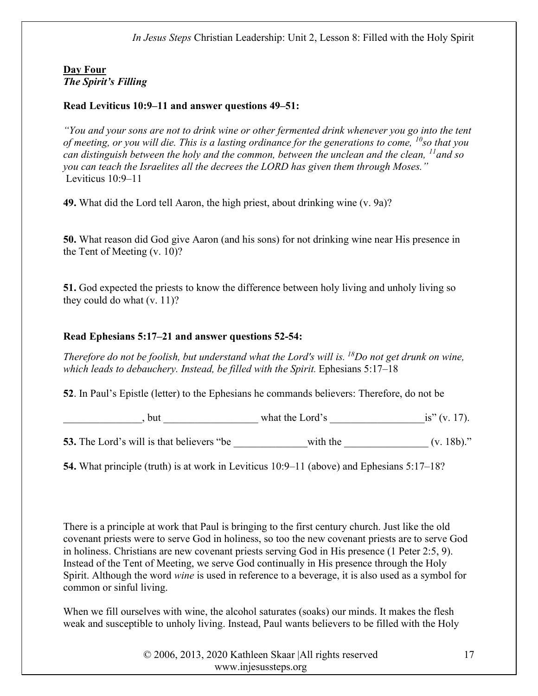## Day Four The Spirit's Filling

#### Read Leviticus 10:9–11 and answer questions 49–51:

"You and your sons are not to drink wine or other fermented drink whenever you go into the tent of meeting, or you will die. This is a lasting ordinance for the generations to come,  $^{10}$ so that you can distinguish between the holy and the common, between the unclean and the clean,  $\frac{11}{1}$ and so you can teach the Israelites all the decrees the LORD has given them through Moses." Leviticus 10:9–11

49. What did the Lord tell Aaron, the high priest, about drinking wine (v. 9a)?

50. What reason did God give Aaron (and his sons) for not drinking wine near His presence in the Tent of Meeting (v. 10)?

51. God expected the priests to know the difference between holy living and unholy living so they could do what (v. 11)?

#### Read Ephesians 5:17–21 and answer questions 52-54:

Therefore do not be foolish, but understand what the Lord's will is.<sup>18</sup>Do not get drunk on wine, which leads to debauchery. Instead, be filled with the Spirit. Ephesians 5:17–18

52. In Paul's Epistle (letter) to the Ephesians he commands believers: Therefore, do not be

 $\mu$ , but  $\mu$  what the Lord's  $\mu$  is" (v. 17).

53. The Lord's will is that believers "be with the  $($ v. 18b)."

54. What principle (truth) is at work in Leviticus 10:9–11 (above) and Ephesians 5:17–18?

There is a principle at work that Paul is bringing to the first century church. Just like the old covenant priests were to serve God in holiness, so too the new covenant priests are to serve God in holiness. Christians are new covenant priests serving God in His presence (1 Peter 2:5, 9). Instead of the Tent of Meeting, we serve God continually in His presence through the Holy Spirit. Although the word wine is used in reference to a beverage, it is also used as a symbol for common or sinful living.

When we fill ourselves with wine, the alcohol saturates (soaks) our minds. It makes the flesh weak and susceptible to unholy living. Instead, Paul wants believers to be filled with the Holy

> © 2006, 2013, 2020 Kathleen Skaar |All rights reserved www.injesussteps.org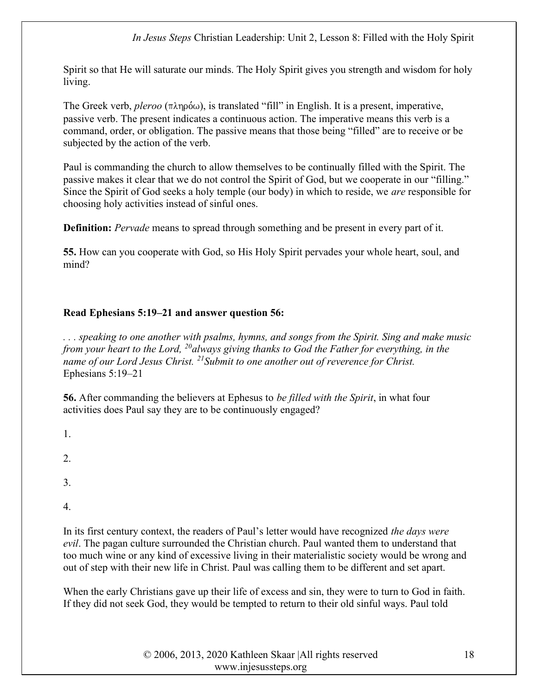Spirit so that He will saturate our minds. The Holy Spirit gives you strength and wisdom for holy living.

The Greek verb, *pleroo* ( $\pi \lambda \eta \rho \dot{\omega}$ ), is translated "fill" in English. It is a present, imperative, passive verb. The present indicates a continuous action. The imperative means this verb is a command, order, or obligation. The passive means that those being "filled" are to receive or be subjected by the action of the verb.

Paul is commanding the church to allow themselves to be continually filled with the Spirit. The passive makes it clear that we do not control the Spirit of God, but we cooperate in our "filling." Since the Spirit of God seeks a holy temple (our body) in which to reside, we are responsible for choosing holy activities instead of sinful ones.

**Definition:** Pervade means to spread through something and be present in every part of it.

55. How can you cooperate with God, so His Holy Spirit pervades your whole heart, soul, and mind?

## Read Ephesians 5:19–21 and answer question 56:

. . . speaking to one another with psalms, hymns, and songs from the Spirit. Sing and make music from your heart to the Lord,  $^{20}$ always giving thanks to God the Father for everything, in the name of our Lord Jesus Christ.  $^{21}$ Submit to one another out of reverence for Christ. Ephesians 5:19–21

**56.** After commanding the believers at Ephesus to *be filled with the Spirit*, in what four activities does Paul say they are to be continuously engaged?

- 1.
- 2.
- 
- 3.
- 4.

In its first century context, the readers of Paul's letter would have recognized the days were evil. The pagan culture surrounded the Christian church. Paul wanted them to understand that too much wine or any kind of excessive living in their materialistic society would be wrong and out of step with their new life in Christ. Paul was calling them to be different and set apart.

When the early Christians gave up their life of excess and sin, they were to turn to God in faith. If they did not seek God, they would be tempted to return to their old sinful ways. Paul told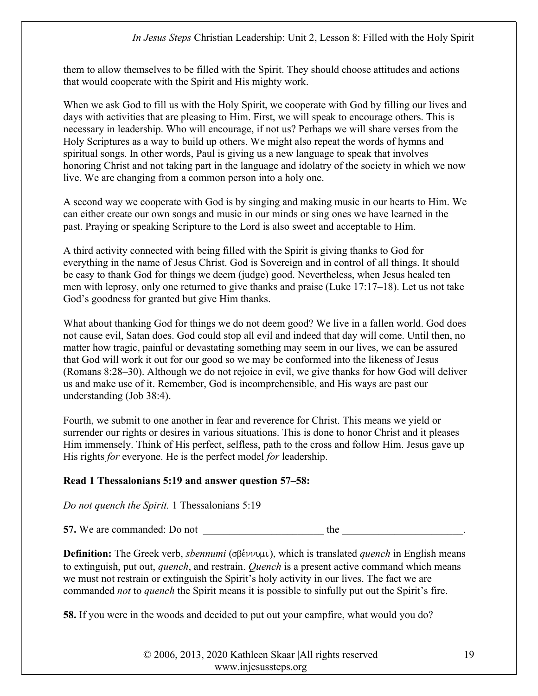them to allow themselves to be filled with the Spirit. They should choose attitudes and actions that would cooperate with the Spirit and His mighty work.

When we ask God to fill us with the Holy Spirit, we cooperate with God by filling our lives and days with activities that are pleasing to Him. First, we will speak to encourage others. This is necessary in leadership. Who will encourage, if not us? Perhaps we will share verses from the Holy Scriptures as a way to build up others. We might also repeat the words of hymns and spiritual songs. In other words, Paul is giving us a new language to speak that involves honoring Christ and not taking part in the language and idolatry of the society in which we now live. We are changing from a common person into a holy one.

A second way we cooperate with God is by singing and making music in our hearts to Him. We can either create our own songs and music in our minds or sing ones we have learned in the past. Praying or speaking Scripture to the Lord is also sweet and acceptable to Him.

A third activity connected with being filled with the Spirit is giving thanks to God for everything in the name of Jesus Christ. God is Sovereign and in control of all things. It should be easy to thank God for things we deem (judge) good. Nevertheless, when Jesus healed ten men with leprosy, only one returned to give thanks and praise (Luke 17:17–18). Let us not take God's goodness for granted but give Him thanks.

What about thanking God for things we do not deem good? We live in a fallen world. God does not cause evil, Satan does. God could stop all evil and indeed that day will come. Until then, no matter how tragic, painful or devastating something may seem in our lives, we can be assured that God will work it out for our good so we may be conformed into the likeness of Jesus (Romans 8:28–30). Although we do not rejoice in evil, we give thanks for how God will deliver us and make use of it. Remember, God is incomprehensible, and His ways are past our understanding (Job 38:4).

Fourth, we submit to one another in fear and reverence for Christ. This means we yield or surrender our rights or desires in various situations. This is done to honor Christ and it pleases Him immensely. Think of His perfect, selfless, path to the cross and follow Him. Jesus gave up His rights for everyone. He is the perfect model for leadership.

## Read 1 Thessalonians 5:19 and answer question 57–58:

Do not quench the Spirit. 1 Thessalonians 5:19

57. We are commanded: Do not the  $\Box$ 

**Definition:** The Greek verb, *sbennumi* ( $\sigma\beta\epsilon\nu\nu$ ), which is translated *quench* in English means to extinguish, put out, *quench*, and restrain. *Quench* is a present active command which means we must not restrain or extinguish the Spirit's holy activity in our lives. The fact we are commanded not to quench the Spirit means it is possible to sinfully put out the Spirit's fire.

58. If you were in the woods and decided to put out your campfire, what would you do?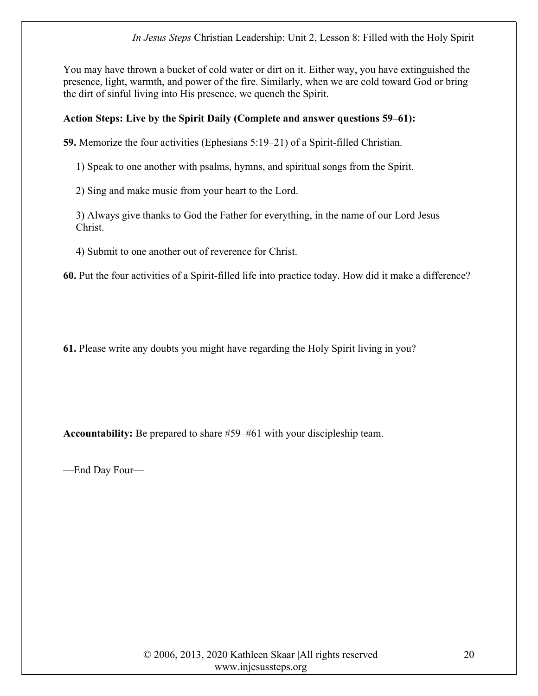You may have thrown a bucket of cold water or dirt on it. Either way, you have extinguished the presence, light, warmth, and power of the fire. Similarly, when we are cold toward God or bring the dirt of sinful living into His presence, we quench the Spirit.

## Action Steps: Live by the Spirit Daily (Complete and answer questions 59–61):

59. Memorize the four activities (Ephesians 5:19–21) of a Spirit-filled Christian.

1) Speak to one another with psalms, hymns, and spiritual songs from the Spirit.

2) Sing and make music from your heart to the Lord.

3) Always give thanks to God the Father for everything, in the name of our Lord Jesus Christ.

4) Submit to one another out of reverence for Christ.

60. Put the four activities of a Spirit-filled life into practice today. How did it make a difference?

61. Please write any doubts you might have regarding the Holy Spirit living in you?

Accountability: Be prepared to share #59–#61 with your discipleship team.

—End Day Four—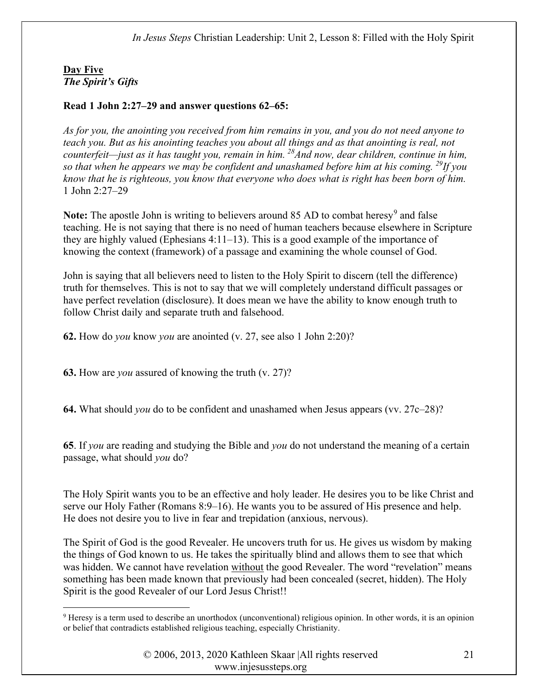## Day Five The Spirit's Gifts

### Read 1 John 2:27–29 and answer questions 62–65:

As for you, the anointing you received from him remains in you, and you do not need anyone to teach you. But as his anointing teaches you about all things and as that anointing is real, not counterfeit—just as it has taught you, remain in him. <sup>28</sup>And now, dear children, continue in him, so that when he appears we may be confident and unashamed before him at his coming. <sup>29</sup>If you know that he is righteous, you know that everyone who does what is right has been born of him. 1 John 2:27–29

Note: The apostle John is writing to believers around 85 AD to combat heresy<sup>9</sup> and false teaching. He is not saying that there is no need of human teachers because elsewhere in Scripture they are highly valued (Ephesians 4:11–13). This is a good example of the importance of knowing the context (framework) of a passage and examining the whole counsel of God.

John is saying that all believers need to listen to the Holy Spirit to discern (tell the difference) truth for themselves. This is not to say that we will completely understand difficult passages or have perfect revelation (disclosure). It does mean we have the ability to know enough truth to follow Christ daily and separate truth and falsehood.

62. How do you know you are anointed (v. 27, see also 1 John 2:20)?

63. How are you assured of knowing the truth (v. 27)?

64. What should *you* do to be confident and unashamed when Jesus appears (vv.  $27c-28$ )?

65. If you are reading and studying the Bible and you do not understand the meaning of a certain passage, what should you do?

The Holy Spirit wants you to be an effective and holy leader. He desires you to be like Christ and serve our Holy Father (Romans 8:9–16). He wants you to be assured of His presence and help. He does not desire you to live in fear and trepidation (anxious, nervous).

The Spirit of God is the good Revealer. He uncovers truth for us. He gives us wisdom by making the things of God known to us. He takes the spiritually blind and allows them to see that which was hidden. We cannot have revelation without the good Revealer. The word "revelation" means something has been made known that previously had been concealed (secret, hidden). The Holy Spirit is the good Revealer of our Lord Jesus Christ!!

<sup>&</sup>lt;sup>9</sup> Heresy is a term used to describe an unorthodox (unconventional) religious opinion. In other words, it is an opinion or belief that contradicts established religious teaching, especially Christianity.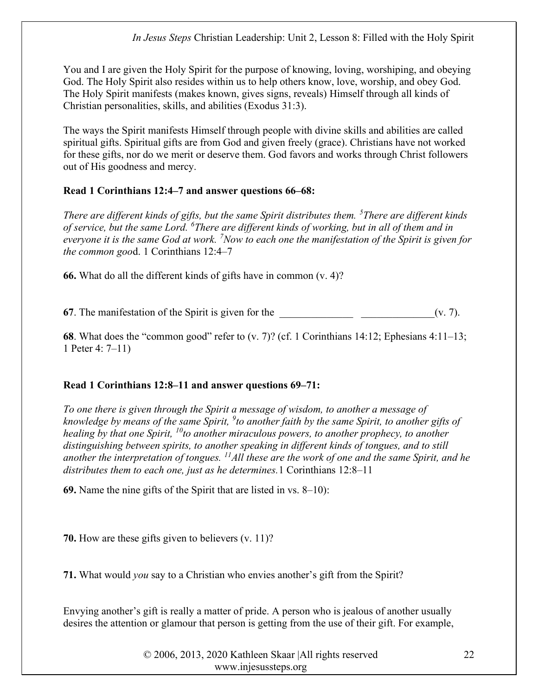You and I are given the Holy Spirit for the purpose of knowing, loving, worshiping, and obeying God. The Holy Spirit also resides within us to help others know, love, worship, and obey God. The Holy Spirit manifests (makes known, gives signs, reveals) Himself through all kinds of Christian personalities, skills, and abilities (Exodus 31:3).

The ways the Spirit manifests Himself through people with divine skills and abilities are called spiritual gifts. Spiritual gifts are from God and given freely (grace). Christians have not worked for these gifts, nor do we merit or deserve them. God favors and works through Christ followers out of His goodness and mercy.

## Read 1 Corinthians 12:4–7 and answer questions 66–68:

There are different kinds of gifts, but the same Spirit distributes them.  $5$ There are different kinds of service, but the same Lord. <sup>6</sup>There are different kinds of working, but in all of them and in everyone it is the same God at work.  $^7$ Now to each one the manifestation of the Spirit is given for the common good. 1 Corinthians 12:4–7

66. What do all the different kinds of gifts have in common (v. 4)?

67. The manifestation of the Spirit is given for the  $(v, 7)$ .

68. What does the "common good" refer to (v. 7)? (cf. 1 Corinthians 14:12; Ephesians 4:11–13; 1 Peter 4: 7–11)

#### Read 1 Corinthians 12:8–11 and answer questions 69–71:

To one there is given through the Spirit a message of wisdom, to another a message of knowledge by means of the same Spirit,  $^{9}$ to another faith by the same Spirit, to another gifts of healing by that one Spirit,  $^{10}$ to another miraculous powers, to another prophecy, to another distinguishing between spirits, to another speaking in different kinds of tongues, and to still another the interpretation of tongues. <sup>11</sup>All these are the work of one and the same Spirit, and he distributes them to each one, just as he determines.1 Corinthians 12:8–11

69. Name the nine gifts of the Spirit that are listed in vs. 8–10):

70. How are these gifts given to believers (v. 11)?

71. What would you say to a Christian who envies another's gift from the Spirit?

Envying another's gift is really a matter of pride. A person who is jealous of another usually desires the attention or glamour that person is getting from the use of their gift. For example,

> © 2006, 2013, 2020 Kathleen Skaar |All rights reserved www.injesussteps.org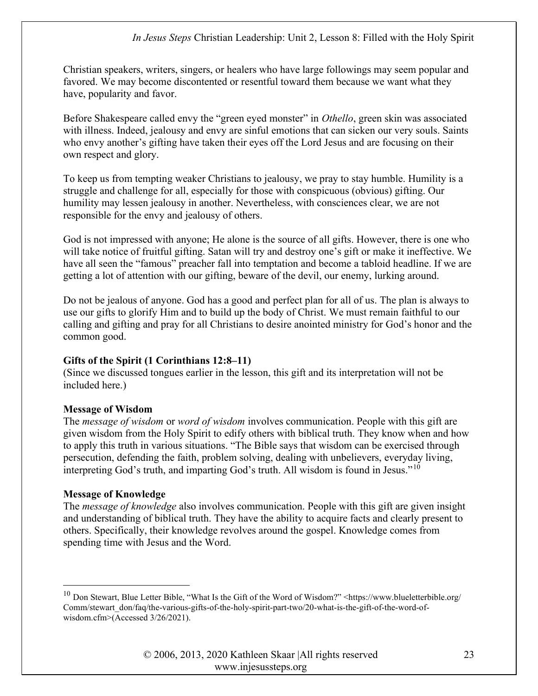Christian speakers, writers, singers, or healers who have large followings may seem popular and favored. We may become discontented or resentful toward them because we want what they have, popularity and favor.

Before Shakespeare called envy the "green eyed monster" in *Othello*, green skin was associated with illness. Indeed, jealousy and envy are sinful emotions that can sicken our very souls. Saints who envy another's gifting have taken their eyes off the Lord Jesus and are focusing on their own respect and glory.

To keep us from tempting weaker Christians to jealousy, we pray to stay humble. Humility is a struggle and challenge for all, especially for those with conspicuous (obvious) gifting. Our humility may lessen jealousy in another. Nevertheless, with consciences clear, we are not responsible for the envy and jealousy of others.

God is not impressed with anyone; He alone is the source of all gifts. However, there is one who will take notice of fruitful gifting. Satan will try and destroy one's gift or make it ineffective. We have all seen the "famous" preacher fall into temptation and become a tabloid headline. If we are getting a lot of attention with our gifting, beware of the devil, our enemy, lurking around.

Do not be jealous of anyone. God has a good and perfect plan for all of us. The plan is always to use our gifts to glorify Him and to build up the body of Christ. We must remain faithful to our calling and gifting and pray for all Christians to desire anointed ministry for God's honor and the common good.

## Gifts of the Spirit (1 Corinthians 12:8–11)

(Since we discussed tongues earlier in the lesson, this gift and its interpretation will not be included here.)

## Message of Wisdom

The *message of wisdom* or *word of wisdom* involves communication. People with this gift are given wisdom from the Holy Spirit to edify others with biblical truth. They know when and how to apply this truth in various situations. "The Bible says that wisdom can be exercised through persecution, defending the faith, problem solving, dealing with unbelievers, everyday living, interpreting God's truth, and imparting God's truth. All wisdom is found in Jesus."<sup>10</sup>

#### Message of Knowledge

The *message of knowledge* also involves communication. People with this gift are given insight and understanding of biblical truth. They have the ability to acquire facts and clearly present to others. Specifically, their knowledge revolves around the gospel. Knowledge comes from spending time with Jesus and the Word.

 $10$  Don Stewart, Blue Letter Bible, "What Is the Gift of the Word of Wisdom?" <https://www.blueletterbible.org/ Comm/stewart\_don/faq/the-various-gifts-of-the-holy-spirit-part-two/20-what-is-the-gift-of-the-word-ofwisdom.cfm>(Accessed 3/26/2021).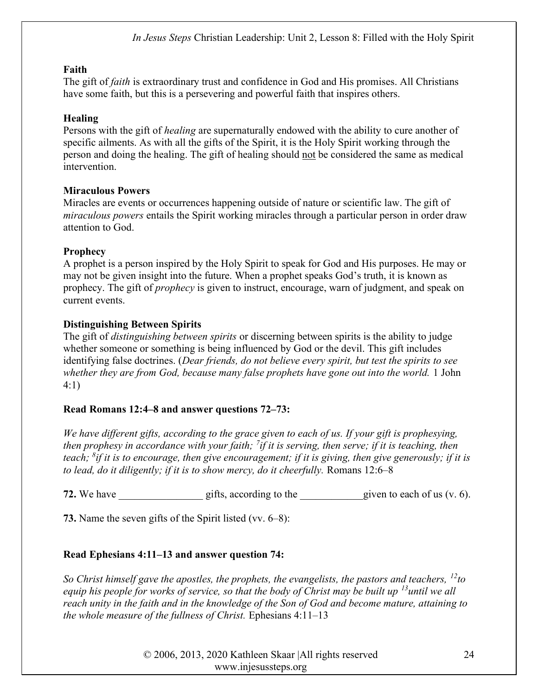#### Faith

The gift of *faith* is extraordinary trust and confidence in God and His promises. All Christians have some faith, but this is a persevering and powerful faith that inspires others.

### Healing

Persons with the gift of *healing* are supernaturally endowed with the ability to cure another of specific ailments. As with all the gifts of the Spirit, it is the Holy Spirit working through the person and doing the healing. The gift of healing should not be considered the same as medical intervention.

#### Miraculous Powers

Miracles are events or occurrences happening outside of nature or scientific law. The gift of miraculous powers entails the Spirit working miracles through a particular person in order draw attention to God.

#### **Prophecy**

A prophet is a person inspired by the Holy Spirit to speak for God and His purposes. He may or may not be given insight into the future. When a prophet speaks God's truth, it is known as prophecy. The gift of *prophecy* is given to instruct, encourage, warn of judgment, and speak on current events.

## Distinguishing Between Spirits

The gift of *distinguishing between spirits* or discerning between spirits is the ability to judge whether someone or something is being influenced by God or the devil. This gift includes identifying false doctrines. (Dear friends, do not believe every spirit, but test the spirits to see whether they are from God, because many false prophets have gone out into the world. 1 John 4:1)

## Read Romans 12:4–8 and answer questions 72–73:

We have different gifts, according to the grace given to each of us. If your gift is prophesying, then prophesy in accordance with your faith;  $^7$ if it is serving, then serve; if it is teaching, then teach;  ${}^{8}$ if it is to encourage, then give encouragement; if it is giving, then give generously; if it is to lead, do it diligently; if it is to show mercy, do it cheerfully. Romans 12:6–8

72. We have  $q$  gifts, according to the  $q$  iven to each of us (v. 6).

73. Name the seven gifts of the Spirit listed (vv. 6–8):

## Read Ephesians 4:11–13 and answer question 74:

So Christ himself gave the apostles, the prophets, the evangelists, the pastors and teachers,  $^{12}$ to equip his people for works of service, so that the body of Christ may be built up  $^{13}$ until we all reach unity in the faith and in the knowledge of the Son of God and become mature, attaining to the whole measure of the fullness of Christ. Ephesians 4:11–13

> © 2006, 2013, 2020 Kathleen Skaar |All rights reserved www.injesussteps.org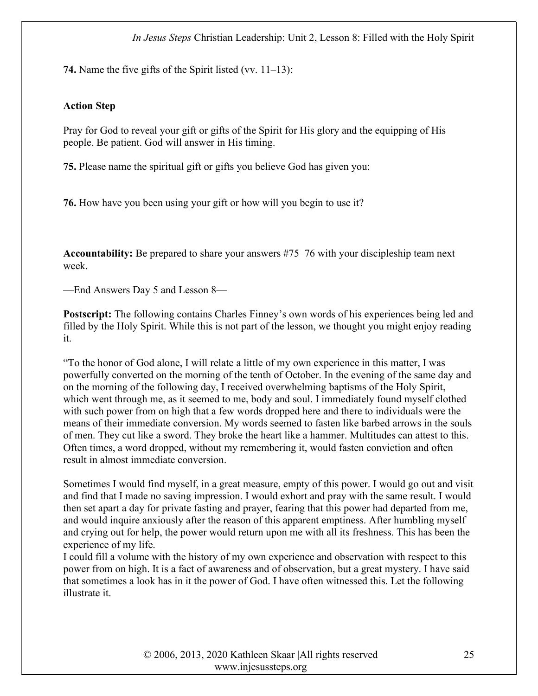74. Name the five gifts of the Spirit listed (vv. 11–13):

#### Action Step

Pray for God to reveal your gift or gifts of the Spirit for His glory and the equipping of His people. Be patient. God will answer in His timing.

75. Please name the spiritual gift or gifts you believe God has given you:

76. How have you been using your gift or how will you begin to use it?

Accountability: Be prepared to share your answers #75–76 with your discipleship team next week.

—End Answers Day 5 and Lesson 8—

Postscript: The following contains Charles Finney's own words of his experiences being led and filled by the Holy Spirit. While this is not part of the lesson, we thought you might enjoy reading it.

"To the honor of God alone, I will relate a little of my own experience in this matter, I was powerfully converted on the morning of the tenth of October. In the evening of the same day and on the morning of the following day, I received overwhelming baptisms of the Holy Spirit, which went through me, as it seemed to me, body and soul. I immediately found myself clothed with such power from on high that a few words dropped here and there to individuals were the means of their immediate conversion. My words seemed to fasten like barbed arrows in the souls of men. They cut like a sword. They broke the heart like a hammer. Multitudes can attest to this. Often times, a word dropped, without my remembering it, would fasten conviction and often result in almost immediate conversion.

Sometimes I would find myself, in a great measure, empty of this power. I would go out and visit and find that I made no saving impression. I would exhort and pray with the same result. I would then set apart a day for private fasting and prayer, fearing that this power had departed from me, and would inquire anxiously after the reason of this apparent emptiness. After humbling myself and crying out for help, the power would return upon me with all its freshness. This has been the experience of my life.

I could fill a volume with the history of my own experience and observation with respect to this power from on high. It is a fact of awareness and of observation, but a great mystery. I have said that sometimes a look has in it the power of God. I have often witnessed this. Let the following illustrate it.